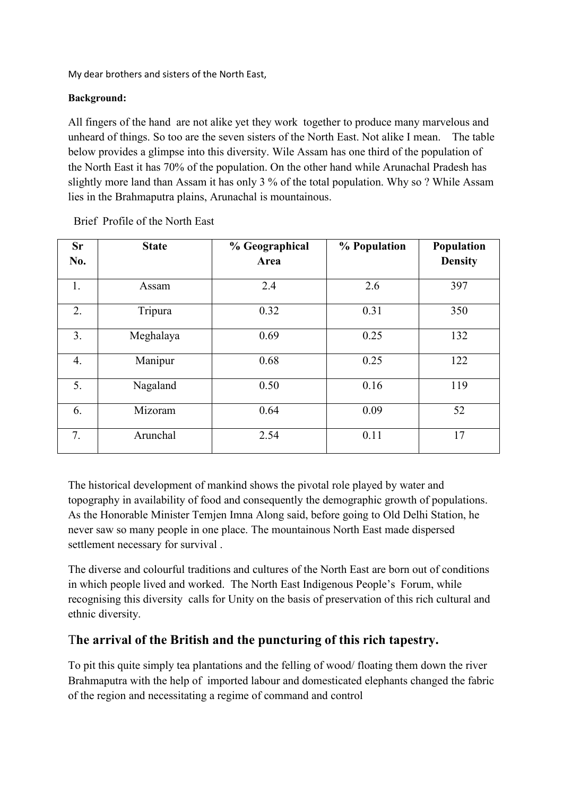My dear brothers and sisters of the North East,

## **Background:**

All fingers of the hand are not alike yet they work together to produce many marvelous and unheard of things. So too are the seven sisters of the North East. Not alike I mean. The table below provides a glimpse into this diversity. Wile Assam has one third of the population of the North East it has 70% of the population. On the other hand while Arunachal Pradesh has slightly more land than Assam it has only 3 % of the total population. Why so ? While Assam lies in the Brahmaputra plains, Arunachal is mountainous.

| <b>Sr</b>        | <b>State</b> | % Geographical | % Population | Population     |
|------------------|--------------|----------------|--------------|----------------|
| No.              |              | Area           |              | <b>Density</b> |
| 1.               | Assam        | 2.4            | 2.6          | 397            |
| 2.               | Tripura      | 0.32           | 0.31         | 350            |
| 3.               | Meghalaya    | 0.69           | 0.25         | 132            |
| $\overline{4}$ . | Manipur      | 0.68           | 0.25         | 122            |
| 5.               | Nagaland     | 0.50           | 0.16         | 119            |
| 6.               | Mizoram      | 0.64           | 0.09         | 52             |
| 7.               | Arunchal     | 2.54           | 0.11         | 17             |

Brief Profile of the North East

The historical development of mankind shows the pivotal role played by water and topography in availability of food and consequently the demographic growth of populations. As the Honorable Minister Temjen Imna Along said, before going to Old Delhi Station, he never saw so many people in one place. The mountainous North East made dispersed settlement necessary for survival .<br>The diverse and colourful traditions and cultures of the North East are born out of conditions

in which people lived and worked. The North East Indigenous People's Forum, while recognising this diversity calls for Unity on the basis of preservation of this rich cultural and ethnic diversity.

## T**he arrivalof the British and the puncturing of this rich tapestry.**

To pit this quite simply tea plantations and the felling of wood/ floating them down the river Brahmaputra with the help of imported labour and domesticated elephants changed the fabric of the region and necessitating a regime of command and control